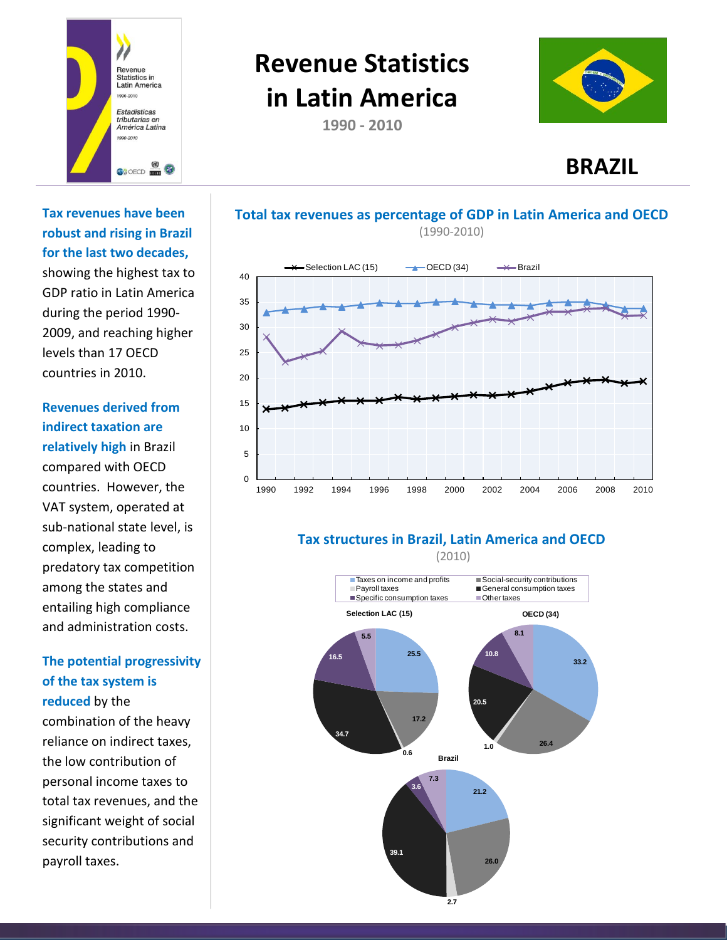

# **Revenue Statistics in Latin America**

**1990 - 2010**





**Tax revenues have been robust and rising in Brazil for the last two decades,**

showing the highest tax to GDP ratio in Latin America during the period 1990- 2009, and reaching higher levels than 17 OECD countries in 2010.

# **Revenues derived from indirect taxation are**

**relatively high** in Brazil compared with OECD countries. However, the VAT system, operated at sub-national state level, is complex, leading to predatory tax competition among the states and entailing high compliance and administration costs.

## **The potential progressivity of the tax system is reduced** by the

combination of the heavy reliance on indirect taxes, the low contribution of personal income taxes to total tax revenues, and the significant weight of social security contributions and payroll taxes.

#### **Total tax revenues as percentage of GDP in Latin America and OECD** (1990-2010)



### **Tax structures in Brazil, Latin America and OECD**

(2010)

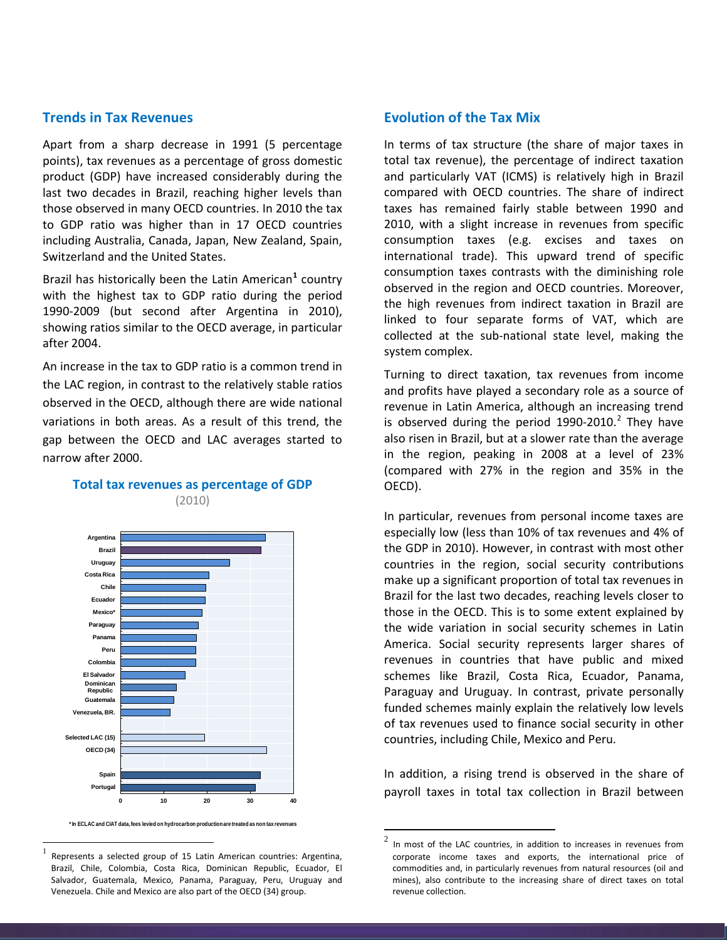#### **Trends in Tax Revenues**

Apart from a sharp decrease in 1991 (5 percentage points), tax revenues as a percentage of gross domestic product (GDP) have increased considerably during the last two decades in Brazil, reaching higher levels than those observed in many OECD countries. In 2010 the tax to GDP ratio was higher than in 17 OECD countries including Australia, Canada, Japan, New Zealand, Spain, Switzerland and the United States.

Brazil has historically been the Latin American**[1](#page-1-0)** country with the highest tax to GDP ratio during the period 1990-2009 (but second after Argentina in 2010), showing ratios similar to the OECD average, in particular after 2004.

An increase in the tax to GDP ratio is a common trend in the LAC region, in contrast to the relatively stable ratios observed in the OECD, although there are wide national variations in both areas. As a result of this trend, the gap between the OECD and LAC averages started to narrow after 2000.



#### **Total tax revenues as percentage of GDP** (2010)

**\* In ECLAC and CIAT data, fees levied on hydrocarbon production are treated as non tax revenues**

#### **Evolution of the Tax Mix**

In terms of tax structure (the share of major taxes in total tax revenue), the percentage of indirect taxation and particularly VAT (ICMS) is relatively high in Brazil compared with OECD countries. The share of indirect taxes has remained fairly stable between 1990 and 2010, with a slight increase in revenues from specific consumption taxes (e.g. excises and taxes on international trade). This upward trend of specific consumption taxes contrasts with the diminishing role observed in the region and OECD countries. Moreover, the high revenues from indirect taxation in Brazil are linked to four separate forms of VAT, which are collected at the sub-national state level, making the system complex.

Turning to direct taxation, tax revenues from income and profits have played a secondary role as a source of revenue in Latin America, although an increasing trend is observed during the period  $1990-2010.<sup>2</sup>$  $1990-2010.<sup>2</sup>$  $1990-2010.<sup>2</sup>$  They have also risen in Brazil, but at a slower rate than the average in the region, peaking in 2008 at a level of 23% (compared with 27% in the region and 35% in the OECD).

In particular, revenues from personal income taxes are especially low (less than 10% of tax revenues and 4% of the GDP in 2010). However, in contrast with most other countries in the region, social security contributions make up a significant proportion of total tax revenues in Brazil for the last two decades, reaching levels closer to those in the OECD. This is to some extent explained by the wide variation in social security schemes in Latin America. Social security represents larger shares of revenues in countries that have public and mixed schemes like Brazil, Costa Rica, Ecuador, Panama, Paraguay and Uruguay. In contrast, private personally funded schemes mainly explain the relatively low levels of tax revenues used to finance social security in other countries, including Chile, Mexico and Peru.

In addition, a rising trend is observed in the share of payroll taxes in total tax collection in Brazil between

<span id="page-1-1"></span><span id="page-1-0"></span>Represents a selected group of 15 Latin American countries: Argentina, Brazil, Chile, Colombia, Costa Rica, Dominican Republic, Ecuador, El Salvador, Guatemala, Mexico, Panama, Paraguay, Peru, Uruguay and Venezuela. Chile and Mexico are also part of the OECD (34) group.

 $2$  In most of the LAC countries, in addition to increases in revenues from corporate income taxes and exports, the international price of commodities and, in particularly revenues from natural resources (oil and mines), also contribute to the increasing share of direct taxes on total revenue collection.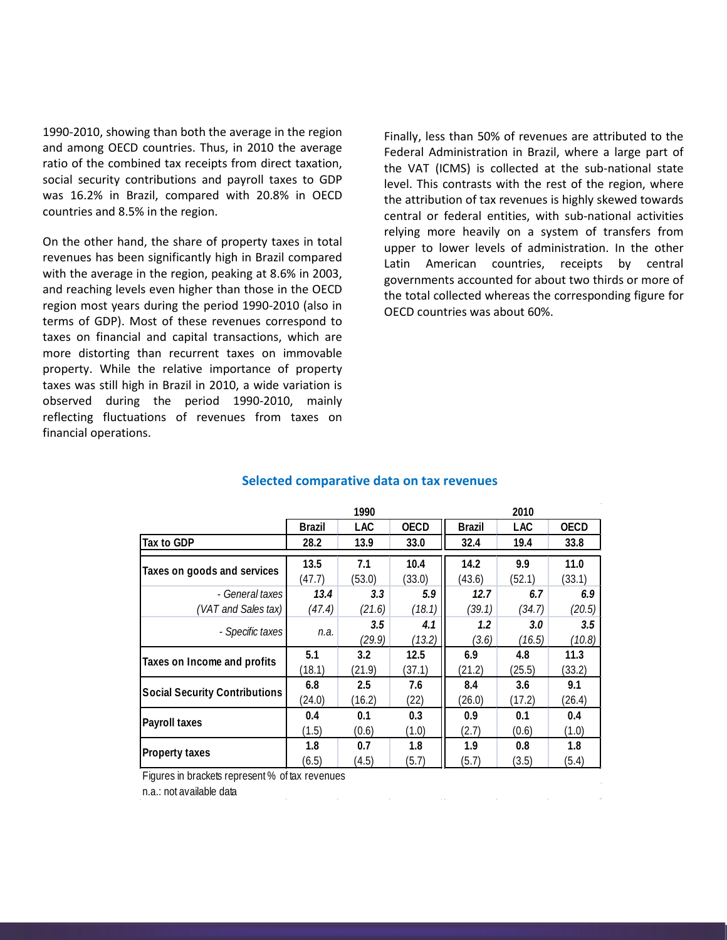1990-2010, showing than both the average in the region and among OECD countries. Thus, in 2010 the average ratio of the combined tax receipts from direct taxation, social security contributions and payroll taxes to GDP was 16.2% in Brazil, compared with 20.8% in OECD countries and 8.5% in the region.

On the other hand, the share of property taxes in total revenues has been significantly high in Brazil compared with the average in the region, peaking at 8.6% in 2003, and reaching levels even higher than those in the OECD region most years during the period 1990-2010 (also in terms of GDP). Most of these revenues correspond to taxes on financial and capital transactions, which are more distorting than recurrent taxes on immovable property. While the relative importance of property taxes was still high in Brazil in 2010, a wide variation is observed during the period 1990-2010, mainly reflecting fluctuations of revenues from taxes on financial operations.

Finally, less than 50% of revenues are attributed to the Federal Administration in Brazil, where a large part of the VAT (ICMS) is collected at the sub-national state level. This contrasts with the rest of the region, where the attribution of tax revenues is highly skewed towards central or federal entities, with sub-national activities relying more heavily on a system of transfers from upper to lower levels of administration. In the other Latin American countries, receipts by central governments accounted for about two thirds or more of the total collected whereas the corresponding figure for OECD countries was about 60%.

|                                      | 1990          |            |             | 2010          |            |             |
|--------------------------------------|---------------|------------|-------------|---------------|------------|-------------|
|                                      | <b>Brazil</b> | <b>LAC</b> | <b>OECD</b> | <b>Brazil</b> | <b>LAC</b> | <b>OECD</b> |
| Tax to GDP                           | 28.2          | 13.9       | 33.0        | 32.4          | 19.4       | 33.8        |
| Taxes on goods and services          | 13.5          | 7.1        | 10.4        | 14.2          | 9.9        | 11.0        |
|                                      | (47.7)        | (53.0)     | (33.0)      | (43.6)        | (52.1)     | (33.1)      |
| - General taxes                      | 13.4          | 3.3        | 5.9         | 12.7          | 6.7        | 6.9         |
| (VAT and Sales tax)                  | (47.4)        | (21.6)     | (18.1)      | (39.1)        | (34.7)     | (20.5)      |
|                                      | n.a.          | 3.5        | 4.1         | 1.2           | 3.0        | 3.5         |
| - Specific taxes                     |               | (29.9)     | (13.2)      | (3.6)         | (16.5)     | (10.8)      |
| Taxes on Income and profits          | 5.1           | 3.2        | 12.5        | 6.9           | 4.8        | 11.3        |
|                                      | (18.1)        | (21.9)     | (37.1)      | (21.2)        | (25.5)     | (33.2)      |
| <b>Social Security Contributions</b> | 6.8           | 2.5        | 7.6         | 8.4           | 3.6        | 9.1         |
|                                      | (24.0)        | (16.2)     | (22)        | (26.0)        | (17.2)     | (26.4)      |
|                                      | 0.4           | 0.1        | 0.3         | 0.9           | 0.1        | 0.4         |
| Payroll taxes                        | (1.5)         | (0.6)      | (1.0)       | (2.7)         | (0.6)      | (1.0)       |
|                                      | 1.8           | 0.7        | 1.8         | 1.9           | 0.8        | 1.8         |
| <b>Property taxes</b>                | (6.5)         | (4.5)      | (5.7)       | (5.7)         | (3.5)      | (5.4)       |

#### **Selected comparative data on tax revenues**

Figures in brackets represent % of tax revenues

n.a.: not available data